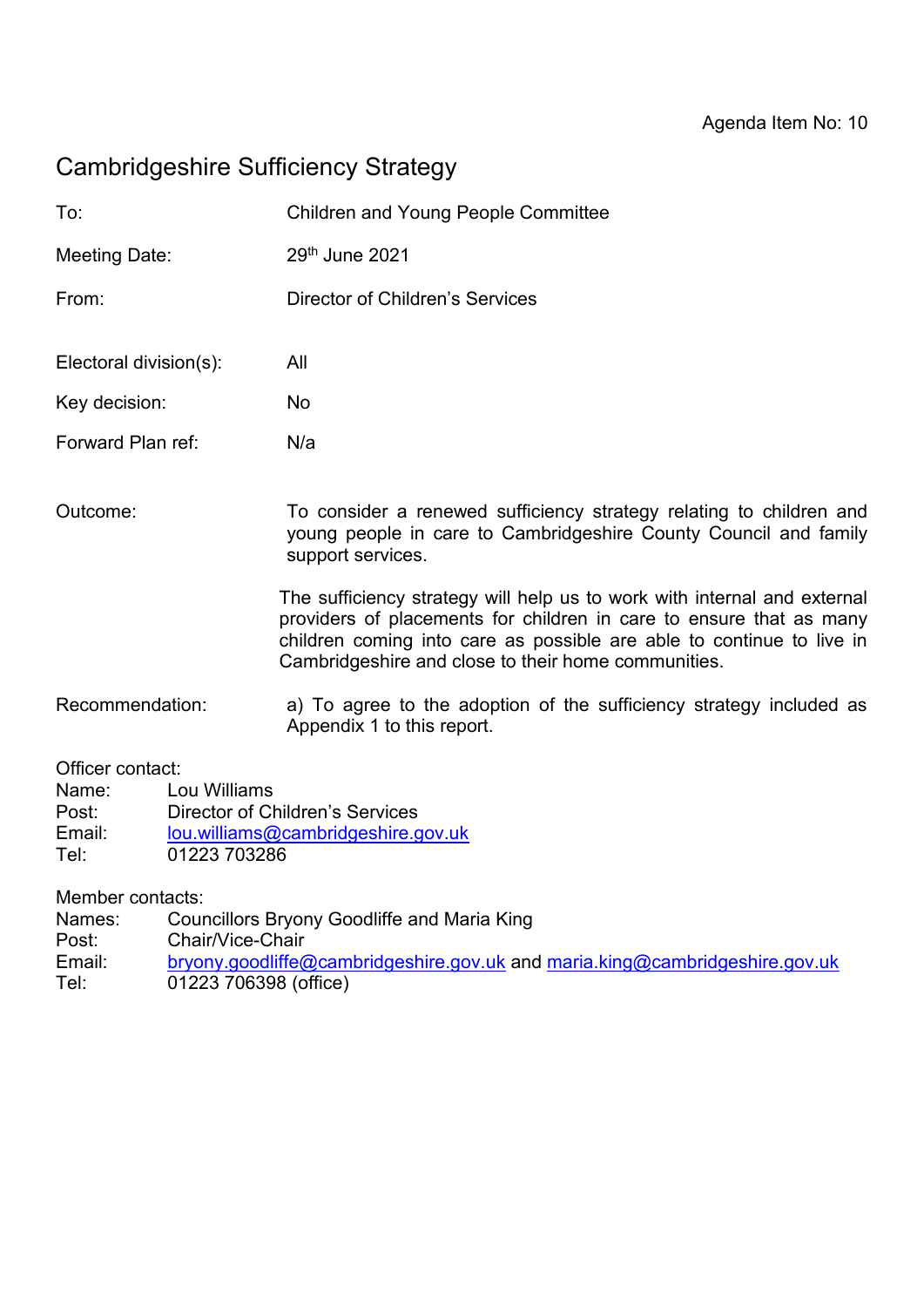# Cambridgeshire Sufficiency Strategy

| To:                                                                                                                                                                  |  | <b>Children and Young People Committee</b>                                                                                                                                                                                                                                      |
|----------------------------------------------------------------------------------------------------------------------------------------------------------------------|--|---------------------------------------------------------------------------------------------------------------------------------------------------------------------------------------------------------------------------------------------------------------------------------|
| Meeting Date:                                                                                                                                                        |  | 29th June 2021                                                                                                                                                                                                                                                                  |
| From:                                                                                                                                                                |  | Director of Children's Services                                                                                                                                                                                                                                                 |
| Electoral division(s):                                                                                                                                               |  | All                                                                                                                                                                                                                                                                             |
| Key decision:                                                                                                                                                        |  | No                                                                                                                                                                                                                                                                              |
| Forward Plan ref:                                                                                                                                                    |  | N/a                                                                                                                                                                                                                                                                             |
| Outcome:                                                                                                                                                             |  | To consider a renewed sufficiency strategy relating to children and<br>young people in care to Cambridgeshire County Council and family<br>support services.                                                                                                                    |
|                                                                                                                                                                      |  | The sufficiency strategy will help us to work with internal and external<br>providers of placements for children in care to ensure that as many<br>children coming into care as possible are able to continue to live in<br>Cambridgeshire and close to their home communities. |
| Recommendation:                                                                                                                                                      |  | a) To agree to the adoption of the sufficiency strategy included as<br>Appendix 1 to this report.                                                                                                                                                                               |
| Officer contact:<br>Lou Williams<br>Name:<br><b>Director of Children's Services</b><br>Post:<br>lou.williams@cambridgeshire.gov.uk<br>Email:<br>01223 703286<br>Tel: |  |                                                                                                                                                                                                                                                                                 |

Member contacts:

Names: Councillors Bryony Goodliffe and Maria King

- Post: Chair/Vice-Chair<br>Email: bryony.goodliffe@
- [bryony.goodliffe@cambridgeshire.gov.uk](mailto:bryony.goodliffe@cambridgeshire.gov.uk) and [maria.king@cambridgeshire.gov.uk](mailto:maria.king@cambridgeshire.gov.uk) Tel: 01223 706398 (office)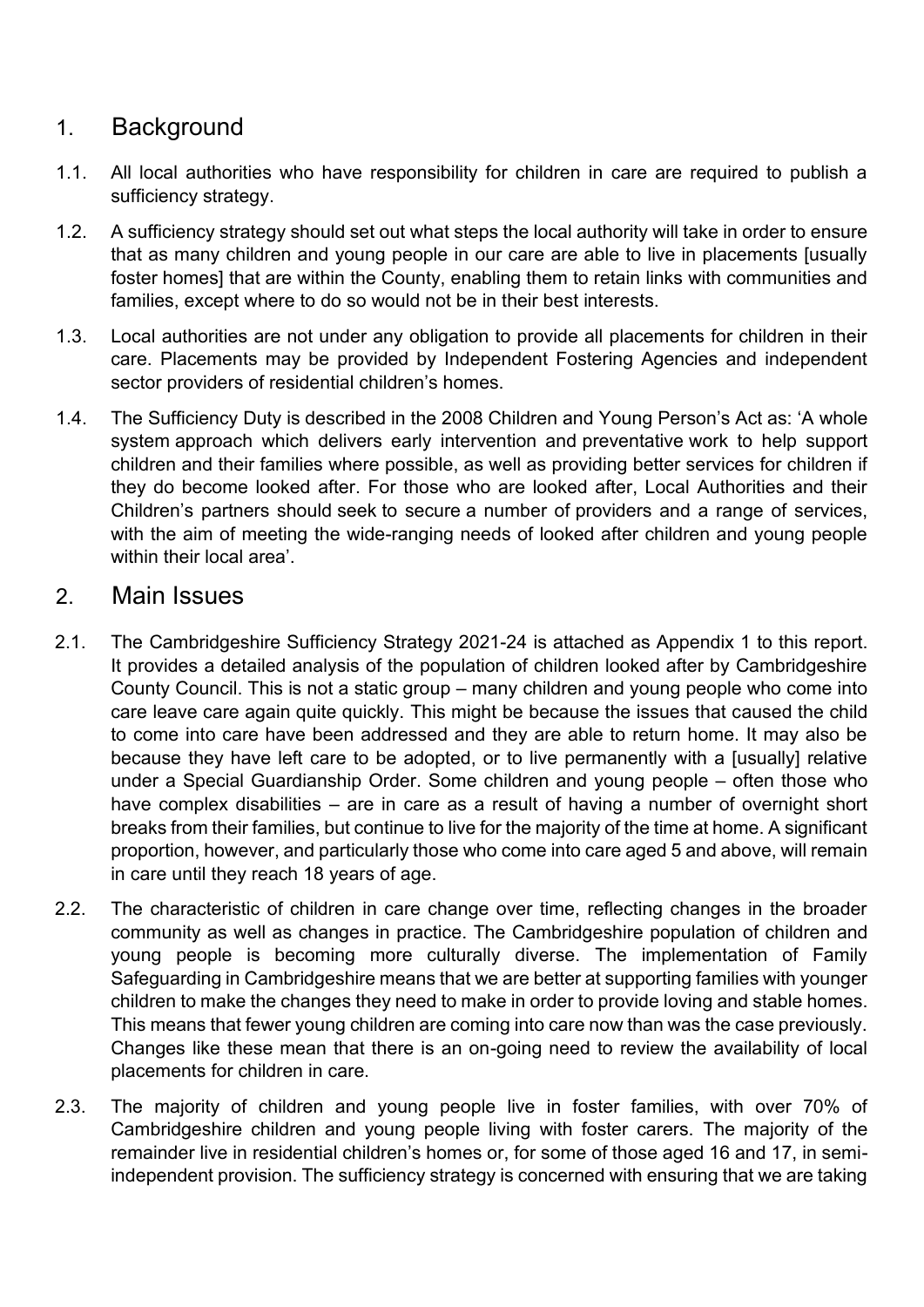## 1. Background

- 1.1. All local authorities who have responsibility for children in care are required to publish a sufficiency strategy.
- 1.2. A sufficiency strategy should set out what steps the local authority will take in order to ensure that as many children and young people in our care are able to live in placements [usually foster homes] that are within the County, enabling them to retain links with communities and families, except where to do so would not be in their best interests.
- 1.3. Local authorities are not under any obligation to provide all placements for children in their care. Placements may be provided by Independent Fostering Agencies and independent sector providers of residential children's homes.
- 1.4. The Sufficiency Duty is described in the 2008 Children and Young Person's Act as: 'A whole system approach which delivers early intervention and preventative work to help support children and their families where possible, as well as providing better services for children if they do become looked after. For those who are looked after, Local Authorities and their Children's partners should seek to secure a number of providers and a range of services, with the aim of meeting the wide-ranging needs of looked after children and young people within their local area'

#### 2. Main Issues

- 2.1. The Cambridgeshire Sufficiency Strategy 2021-24 is attached as Appendix 1 to this report. It provides a detailed analysis of the population of children looked after by Cambridgeshire County Council. This is not a static group – many children and young people who come into care leave care again quite quickly. This might be because the issues that caused the child to come into care have been addressed and they are able to return home. It may also be because they have left care to be adopted, or to live permanently with a [usually] relative under a Special Guardianship Order. Some children and young people – often those who have complex disabilities – are in care as a result of having a number of overnight short breaks from their families, but continue to live for the majority of the time at home. A significant proportion, however, and particularly those who come into care aged 5 and above, will remain in care until they reach 18 years of age.
- 2.2. The characteristic of children in care change over time, reflecting changes in the broader community as well as changes in practice. The Cambridgeshire population of children and young people is becoming more culturally diverse. The implementation of Family Safeguarding in Cambridgeshire means that we are better at supporting families with younger children to make the changes they need to make in order to provide loving and stable homes. This means that fewer young children are coming into care now than was the case previously. Changes like these mean that there is an on-going need to review the availability of local placements for children in care.
- 2.3. The majority of children and young people live in foster families, with over 70% of Cambridgeshire children and young people living with foster carers. The majority of the remainder live in residential children's homes or, for some of those aged 16 and 17, in semiindependent provision. The sufficiency strategy is concerned with ensuring that we are taking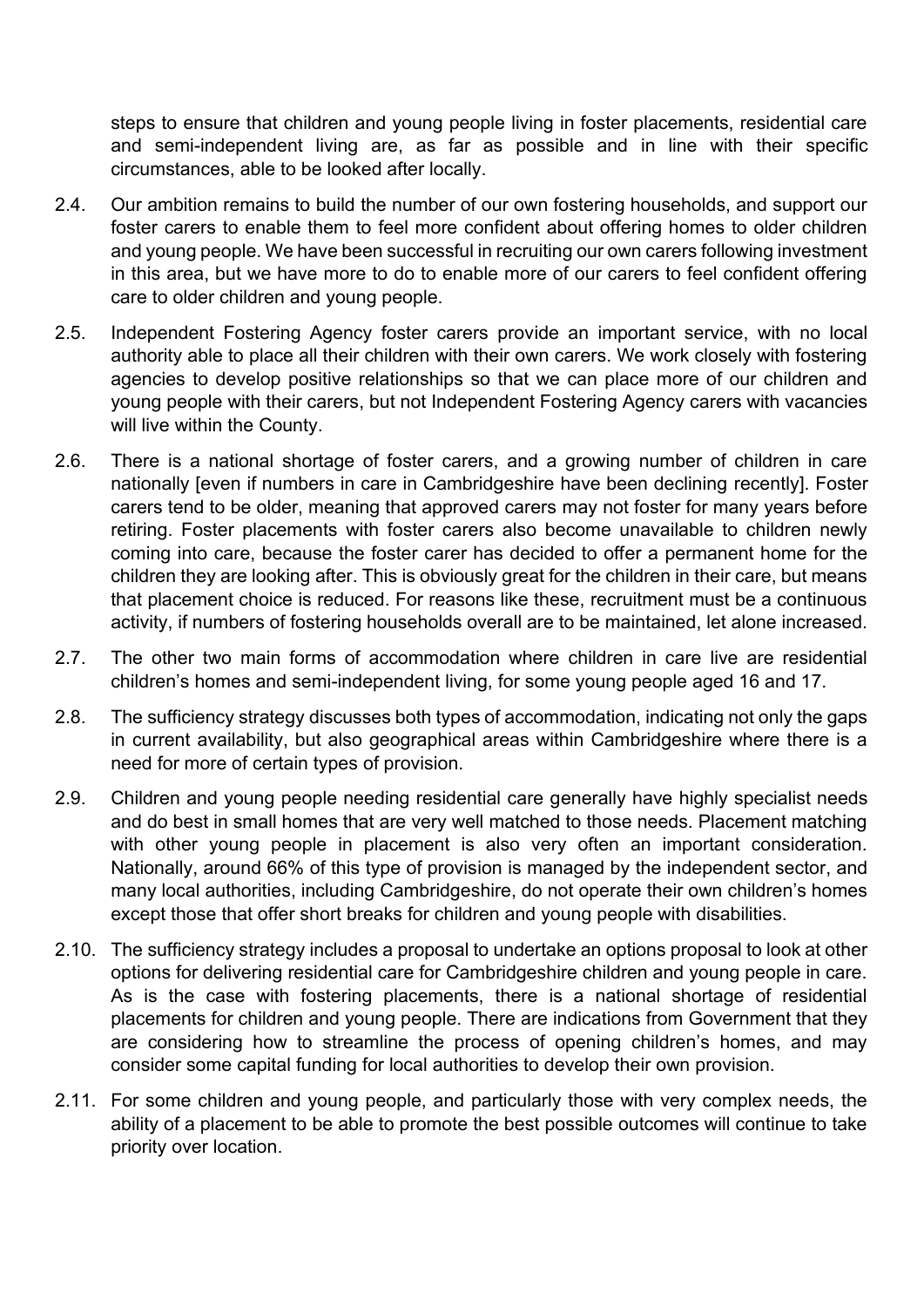steps to ensure that children and young people living in foster placements, residential care and semi-independent living are, as far as possible and in line with their specific circumstances, able to be looked after locally.

- 2.4. Our ambition remains to build the number of our own fostering households, and support our foster carers to enable them to feel more confident about offering homes to older children and young people. We have been successful in recruiting our own carers following investment in this area, but we have more to do to enable more of our carers to feel confident offering care to older children and young people.
- 2.5. Independent Fostering Agency foster carers provide an important service, with no local authority able to place all their children with their own carers. We work closely with fostering agencies to develop positive relationships so that we can place more of our children and young people with their carers, but not Independent Fostering Agency carers with vacancies will live within the County.
- 2.6. There is a national shortage of foster carers, and a growing number of children in care nationally [even if numbers in care in Cambridgeshire have been declining recently]. Foster carers tend to be older, meaning that approved carers may not foster for many years before retiring. Foster placements with foster carers also become unavailable to children newly coming into care, because the foster carer has decided to offer a permanent home for the children they are looking after. This is obviously great for the children in their care, but means that placement choice is reduced. For reasons like these, recruitment must be a continuous activity, if numbers of fostering households overall are to be maintained, let alone increased.
- 2.7. The other two main forms of accommodation where children in care live are residential children's homes and semi-independent living, for some young people aged 16 and 17.
- 2.8. The sufficiency strategy discusses both types of accommodation, indicating not only the gaps in current availability, but also geographical areas within Cambridgeshire where there is a need for more of certain types of provision.
- 2.9. Children and young people needing residential care generally have highly specialist needs and do best in small homes that are very well matched to those needs. Placement matching with other young people in placement is also very often an important consideration. Nationally, around 66% of this type of provision is managed by the independent sector, and many local authorities, including Cambridgeshire, do not operate their own children's homes except those that offer short breaks for children and young people with disabilities.
- 2.10. The sufficiency strategy includes a proposal to undertake an options proposal to look at other options for delivering residential care for Cambridgeshire children and young people in care. As is the case with fostering placements, there is a national shortage of residential placements for children and young people. There are indications from Government that they are considering how to streamline the process of opening children's homes, and may consider some capital funding for local authorities to develop their own provision.
- 2.11. For some children and young people, and particularly those with very complex needs, the ability of a placement to be able to promote the best possible outcomes will continue to take priority over location.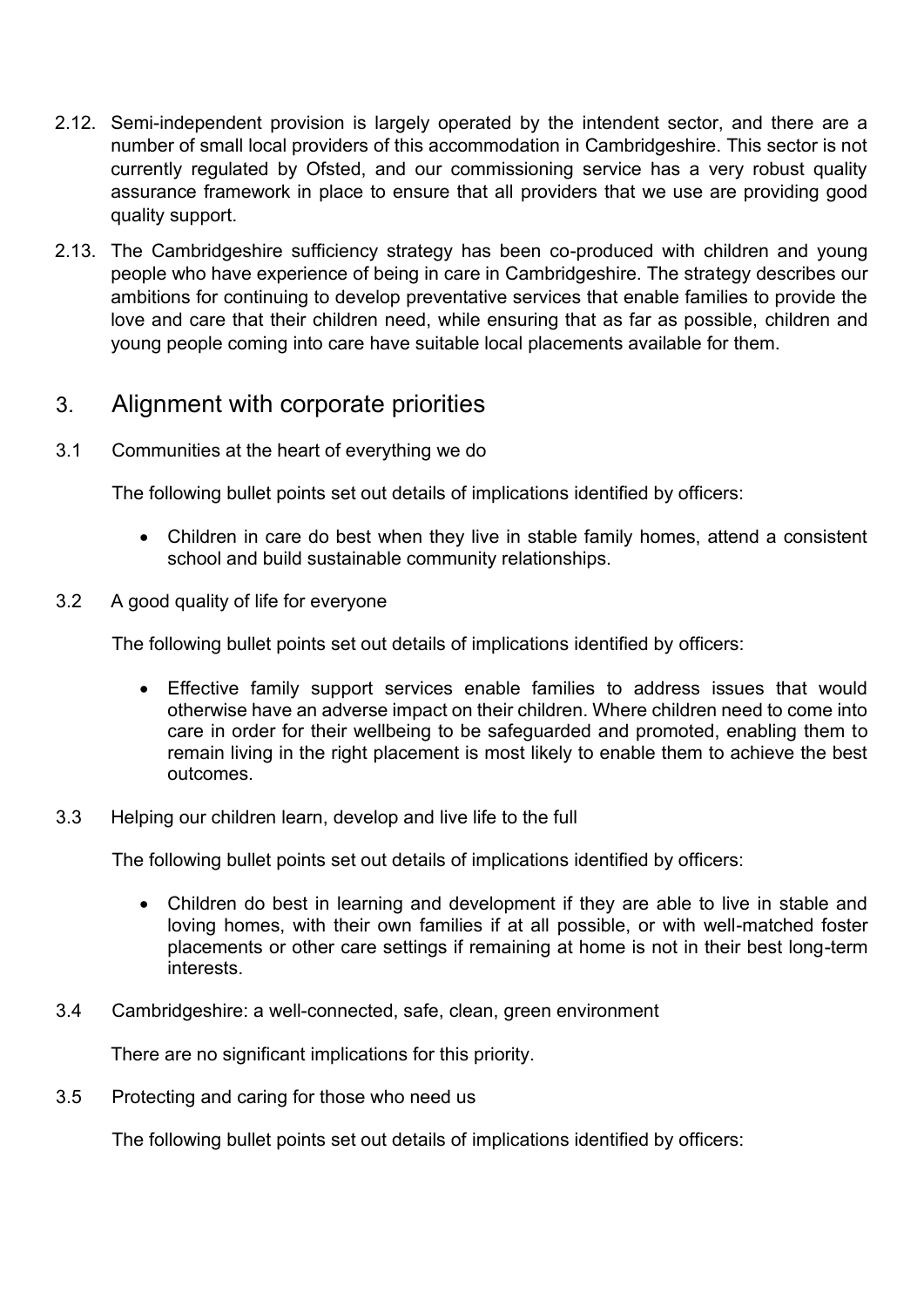- 2.12. Semi-independent provision is largely operated by the intendent sector, and there are a number of small local providers of this accommodation in Cambridgeshire. This sector is not currently regulated by Ofsted, and our commissioning service has a very robust quality assurance framework in place to ensure that all providers that we use are providing good quality support.
- 2.13. The Cambridgeshire sufficiency strategy has been co-produced with children and young people who have experience of being in care in Cambridgeshire. The strategy describes our ambitions for continuing to develop preventative services that enable families to provide the love and care that their children need, while ensuring that as far as possible, children and young people coming into care have suitable local placements available for them.

### 3. Alignment with corporate priorities

3.1 Communities at the heart of everything we do

The following bullet points set out details of implications identified by officers:

- Children in care do best when they live in stable family homes, attend a consistent school and build sustainable community relationships.
- 3.2 A good quality of life for everyone

The following bullet points set out details of implications identified by officers:

- Effective family support services enable families to address issues that would otherwise have an adverse impact on their children. Where children need to come into care in order for their wellbeing to be safeguarded and promoted, enabling them to remain living in the right placement is most likely to enable them to achieve the best outcomes.
- 3.3 Helping our children learn, develop and live life to the full

The following bullet points set out details of implications identified by officers:

- Children do best in learning and development if they are able to live in stable and loving homes, with their own families if at all possible, or with well-matched foster placements or other care settings if remaining at home is not in their best long-term interests.
- 3.4 Cambridgeshire: a well-connected, safe, clean, green environment

There are no significant implications for this priority.

3.5 Protecting and caring for those who need us

The following bullet points set out details of implications identified by officers: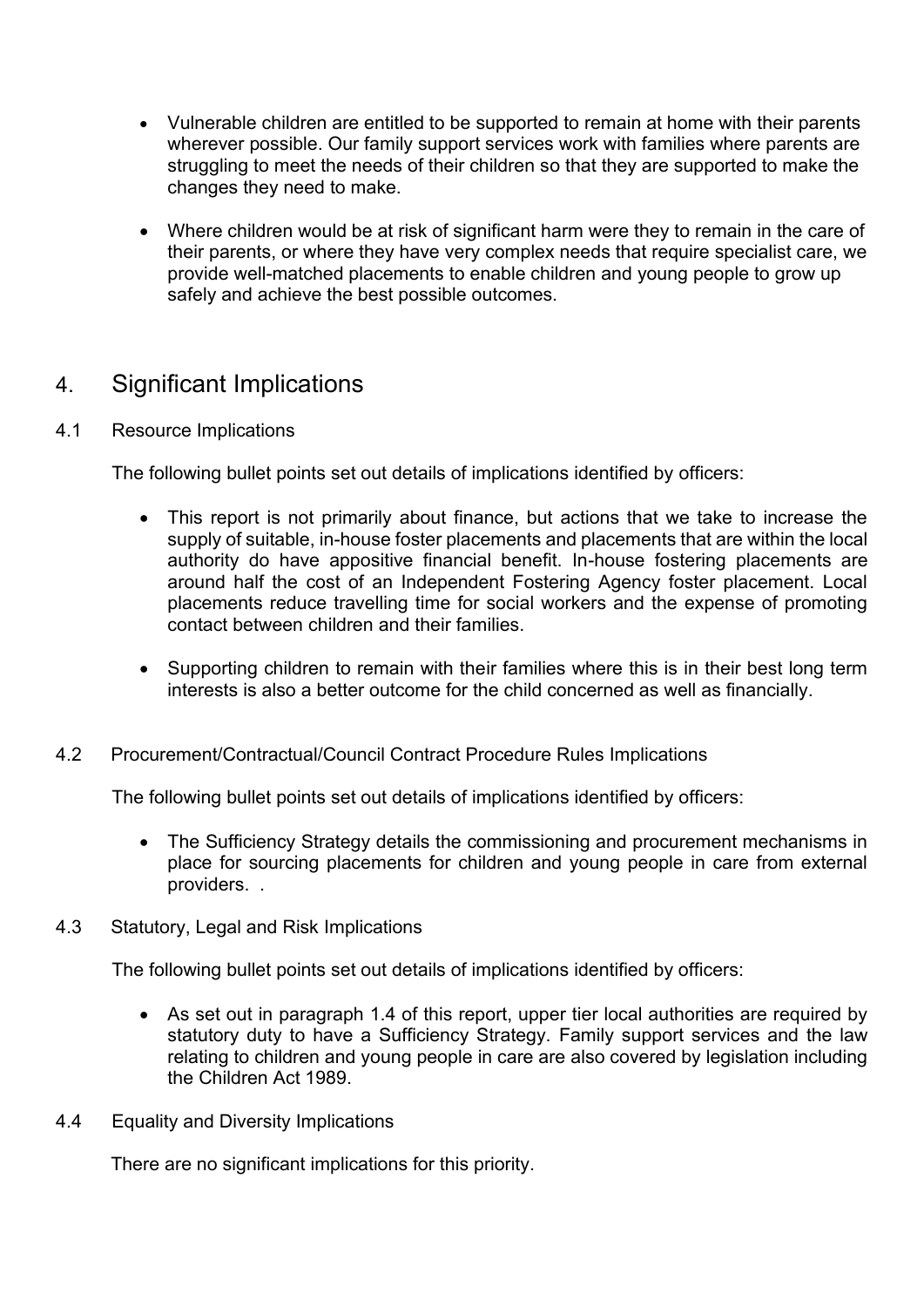- Vulnerable children are entitled to be supported to remain at home with their parents wherever possible. Our family support services work with families where parents are struggling to meet the needs of their children so that they are supported to make the changes they need to make.
- Where children would be at risk of significant harm were they to remain in the care of their parents, or where they have very complex needs that require specialist care, we provide well-matched placements to enable children and young people to grow up safely and achieve the best possible outcomes.

#### 4. Significant Implications

#### 4.1 Resource Implications

The following bullet points set out details of implications identified by officers:

- This report is not primarily about finance, but actions that we take to increase the supply of suitable, in-house foster placements and placements that are within the local authority do have appositive financial benefit. In-house fostering placements are around half the cost of an Independent Fostering Agency foster placement. Local placements reduce travelling time for social workers and the expense of promoting contact between children and their families.
- Supporting children to remain with their families where this is in their best long term interests is also a better outcome for the child concerned as well as financially.
- 4.2 Procurement/Contractual/Council Contract Procedure Rules Implications

The following bullet points set out details of implications identified by officers:

- The Sufficiency Strategy details the commissioning and procurement mechanisms in place for sourcing placements for children and young people in care from external providers. .
- 4.3 Statutory, Legal and Risk Implications

The following bullet points set out details of implications identified by officers:

- As set out in paragraph 1.4 of this report, upper tier local authorities are required by statutory duty to have a Sufficiency Strategy. Family support services and the law relating to children and young people in care are also covered by legislation including the Children Act 1989.
- 4.4 Equality and Diversity Implications

There are no significant implications for this priority.